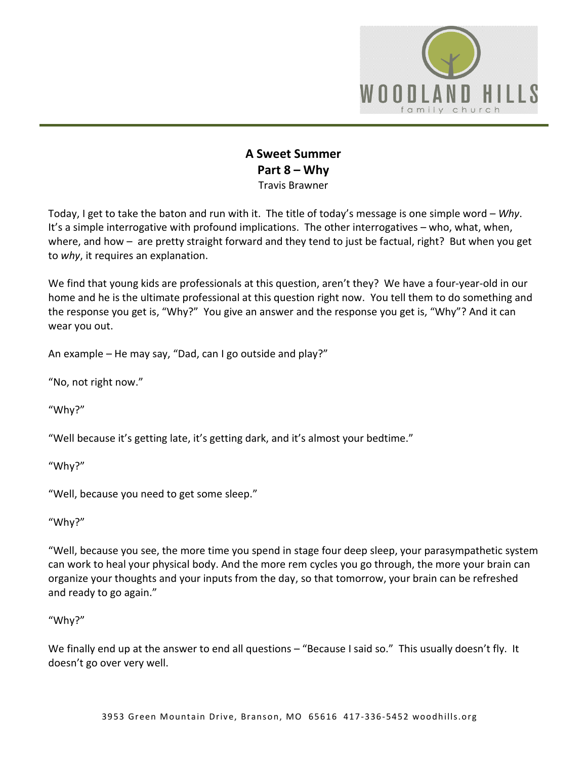

## **A Sweet Summer Part 8 – Why** Travis Brawner

Today, I get to take the baton and run with it. The title of today's message is one simple word – *Why*. It's a simple interrogative with profound implications. The other interrogatives – who, what, when, where, and how – are pretty straight forward and they tend to just be factual, right? But when you get to *why*, it requires an explanation.

We find that young kids are professionals at this question, aren't they? We have a four-year-old in our home and he is the ultimate professional at this question right now. You tell them to do something and the response you get is, "Why?" You give an answer and the response you get is, "Why"? And it can wear you out.

An example – He may say, "Dad, can I go outside and play?"

"No, not right now."

"Why?"

"Well because it's getting late, it's getting dark, and it's almost your bedtime."

"Why?"

"Well, because you need to get some sleep."

"Why?"

"Well, because you see, the more time you spend in stage four deep sleep, your parasympathetic system can work to heal your physical body. And the more rem cycles you go through, the more your brain can organize your thoughts and your inputs from the day, so that tomorrow, your brain can be refreshed and ready to go again."

## "Why?"

We finally end up at the answer to end all questions – "Because I said so." This usually doesn't fly. It doesn't go over very well.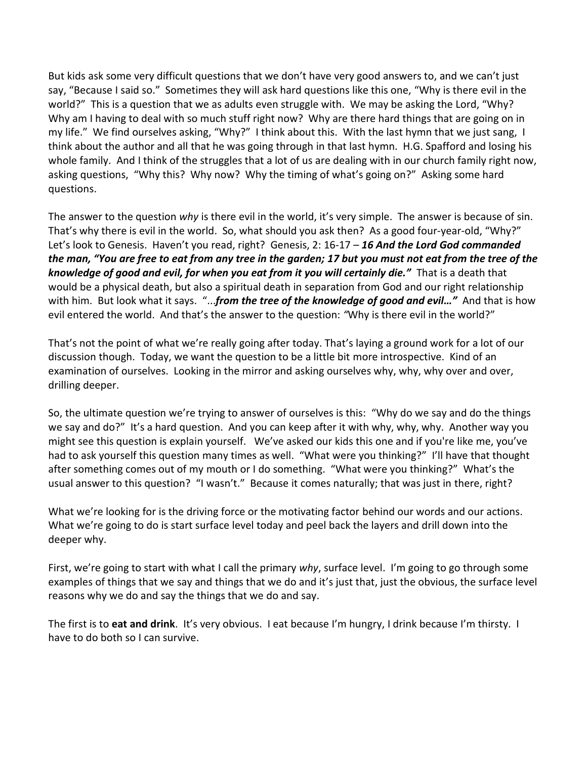But kids ask some very difficult questions that we don't have very good answers to, and we can't just say, "Because I said so." Sometimes they will ask hard questions like this one, "Why is there evil in the world?" This is a question that we as adults even struggle with. We may be asking the Lord, "Why? Why am I having to deal with so much stuff right now? Why are there hard things that are going on in my life." We find ourselves asking, "Why?" I think about this. With the last hymn that we just sang, I think about the author and all that he was going through in that last hymn. H.G. Spafford and losing his whole family. And I think of the struggles that a lot of us are dealing with in our church family right now, asking questions, "Why this? Why now? Why the timing of what's going on?" Asking some hard questions.

The answer to the question *why* is there evil in the world, it's very simple. The answer is because of sin. That's why there is evil in the world. So, what should you ask then? As a good four-year-old, "Why?" Let's look to Genesis. Haven't you read, right? Genesis, 2: 16-17 – *16 And the Lord God commanded the man, "You are free to eat from any tree in the garden; 17 but you must not eat from the tree of the knowledge of good and evil, for when you eat from it you will certainly die."* That is a death that would be a physical death, but also a spiritual death in separation from God and our right relationship with him. But look what it says. "...*from the tree of the knowledge of good and evil…"* And that is how evil entered the world. And that's the answer to the question: *"*Why is there evil in the world?"

That's not the point of what we're really going after today. That's laying a ground work for a lot of our discussion though. Today, we want the question to be a little bit more introspective. Kind of an examination of ourselves. Looking in the mirror and asking ourselves why, why, why over and over, drilling deeper.

So, the ultimate question we're trying to answer of ourselves is this: "Why do we say and do the things we say and do?" It's a hard question. And you can keep after it with why, why, why. Another way you might see this question is explain yourself. We've asked our kids this one and if you're like me, you've had to ask yourself this question many times as well. "What were you thinking?" I'll have that thought after something comes out of my mouth or I do something. "What were you thinking?" What's the usual answer to this question? "I wasn't." Because it comes naturally; that was just in there, right?

What we're looking for is the driving force or the motivating factor behind our words and our actions. What we're going to do is start surface level today and peel back the layers and drill down into the deeper why.

First, we're going to start with what I call the primary *why*, surface level. I'm going to go through some examples of things that we say and things that we do and it's just that, just the obvious, the surface level reasons why we do and say the things that we do and say.

The first is to **eat and drink**. It's very obvious. I eat because I'm hungry, I drink because I'm thirsty. I have to do both so I can survive.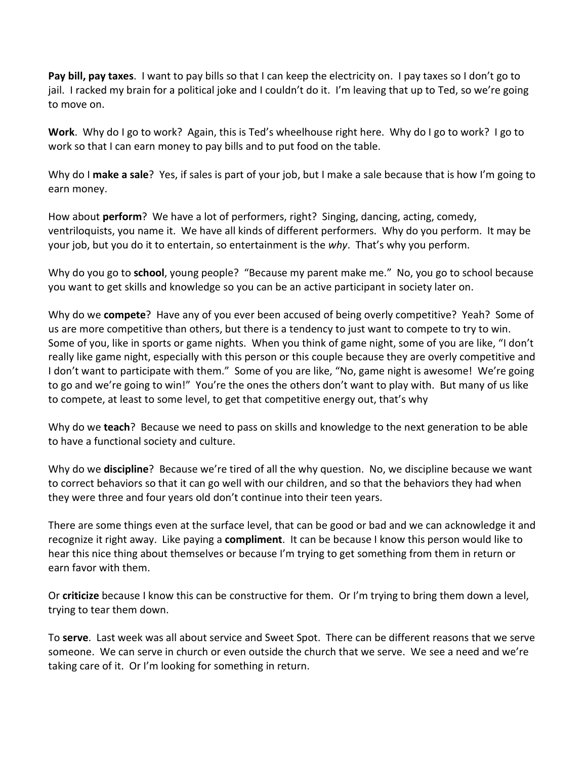**Pay bill, pay taxes**. I want to pay bills so that I can keep the electricity on. I pay taxes so I don't go to jail. I racked my brain for a political joke and I couldn't do it. I'm leaving that up to Ted, so we're going to move on.

**Work**. Why do I go to work? Again, this is Ted's wheelhouse right here. Why do I go to work? I go to work so that I can earn money to pay bills and to put food on the table.

Why do I **make a sale**? Yes, if sales is part of your job, but I make a sale because that is how I'm going to earn money.

How about **perform**? We have a lot of performers, right? Singing, dancing, acting, comedy, ventriloquists, you name it. We have all kinds of different performers. Why do you perform. It may be your job, but you do it to entertain, so entertainment is the *why*. That's why you perform.

Why do you go to **school**, young people? "Because my parent make me." No, you go to school because you want to get skills and knowledge so you can be an active participant in society later on.

Why do we **compete**? Have any of you ever been accused of being overly competitive? Yeah? Some of us are more competitive than others, but there is a tendency to just want to compete to try to win. Some of you, like in sports or game nights. When you think of game night, some of you are like, "I don't really like game night, especially with this person or this couple because they are overly competitive and I don't want to participate with them." Some of you are like, "No, game night is awesome! We're going to go and we're going to win!" You're the ones the others don't want to play with. But many of us like to compete, at least to some level, to get that competitive energy out, that's why

Why do we **teach**? Because we need to pass on skills and knowledge to the next generation to be able to have a functional society and culture.

Why do we **discipline**? Because we're tired of all the why question. No, we discipline because we want to correct behaviors so that it can go well with our children, and so that the behaviors they had when they were three and four years old don't continue into their teen years.

There are some things even at the surface level, that can be good or bad and we can acknowledge it and recognize it right away. Like paying a **compliment**. It can be because I know this person would like to hear this nice thing about themselves or because I'm trying to get something from them in return or earn favor with them.

Or **criticize** because I know this can be constructive for them. Or I'm trying to bring them down a level, trying to tear them down.

To **serve**. Last week was all about service and Sweet Spot. There can be different reasons that we serve someone. We can serve in church or even outside the church that we serve. We see a need and we're taking care of it. Or I'm looking for something in return.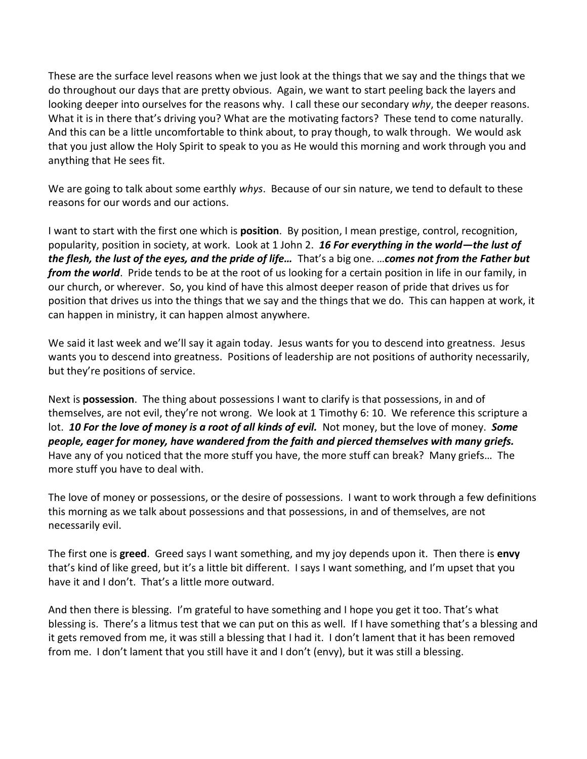These are the surface level reasons when we just look at the things that we say and the things that we do throughout our days that are pretty obvious. Again, we want to start peeling back the layers and looking deeper into ourselves for the reasons why. I call these our secondary *why*, the deeper reasons. What it is in there that's driving you? What are the motivating factors? These tend to come naturally. And this can be a little uncomfortable to think about, to pray though, to walk through. We would ask that you just allow the Holy Spirit to speak to you as He would this morning and work through you and anything that He sees fit.

We are going to talk about some earthly *whys*. Because of our sin nature, we tend to default to these reasons for our words and our actions.

I want to start with the first one which is **position**. By position, I mean prestige, control, recognition, popularity, position in society, at work. Look at 1 John 2. *16 For everything in the world—the lust of the flesh, the lust of the eyes, and the pride of life…* That's a big one. …*comes not from the Father but from the world*. Pride tends to be at the root of us looking for a certain position in life in our family, in our church, or wherever. So, you kind of have this almost deeper reason of pride that drives us for position that drives us into the things that we say and the things that we do. This can happen at work, it can happen in ministry, it can happen almost anywhere.

We said it last week and we'll say it again today. Jesus wants for you to descend into greatness. Jesus wants you to descend into greatness. Positions of leadership are not positions of authority necessarily, but they're positions of service.

Next is **possession**. The thing about possessions I want to clarify is that possessions, in and of themselves, are not evil, they're not wrong. We look at 1 Timothy 6: 10. We reference this scripture a lot. *10 For the love of money is a root of all kinds of evil.* Not money, but the love of money. *Some people, eager for money, have wandered from the faith and pierced themselves with many griefs.* Have any of you noticed that the more stuff you have, the more stuff can break? Many griefs… The more stuff you have to deal with.

The love of money or possessions, or the desire of possessions. I want to work through a few definitions this morning as we talk about possessions and that possessions, in and of themselves, are not necessarily evil.

The first one is **greed**. Greed says I want something, and my joy depends upon it. Then there is **envy** that's kind of like greed, but it's a little bit different. I says I want something, and I'm upset that you have it and I don't. That's a little more outward.

And then there is blessing. I'm grateful to have something and I hope you get it too. That's what blessing is. There's a litmus test that we can put on this as well. If I have something that's a blessing and it gets removed from me, it was still a blessing that I had it. I don't lament that it has been removed from me. I don't lament that you still have it and I don't (envy), but it was still a blessing.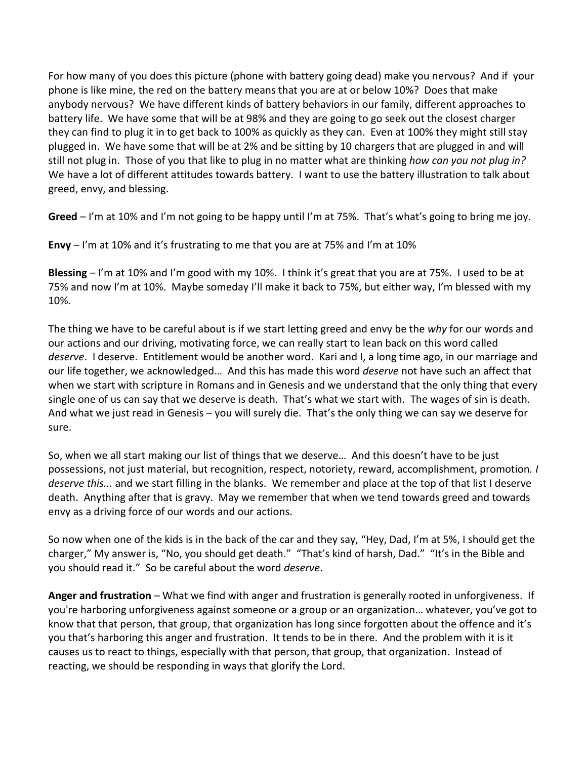For how many of you does this picture (phone with battery going dead) make you nervous? And if your phone is like mine, the red on the battery means that you are at or below 10%? Does that make anybody nervous? We have different kinds of battery behaviors in our family, different approaches to battery life. We have some that will be at 98% and they are going to go seek out the closest charger they can find to plug it in to get back to 100% as quickly as they can. Even at 100% they might still stay plugged in. We have some that will be at 2% and be sitting by 10 chargers that are plugged in and will still not plug in. Those of you that like to plug in no matter what are thinking *how can you not plug in?* We have a lot of different attitudes towards battery. I want to use the battery illustration to talk about greed, envy, and blessing.

**Greed** – I'm at 10% and I'm not going to be happy until I'm at 75%. That's what's going to bring me joy.

**Envy** – I'm at 10% and it's frustrating to me that you are at 75% and I'm at 10%

**Blessing** – I'm at 10% and I'm good with my 10%. I think it's great that you are at 75%. I used to be at 75% and now I'm at 10%. Maybe someday I'll make it back to 75%, but either way, I'm blessed with my 10%.

The thing we have to be careful about is if we start letting greed and envy be the *why* for our words and our actions and our driving, motivating force, we can really start to lean back on this word called *deserve*. I deserve. Entitlement would be another word. Kari and I, a long time ago, in our marriage and our life together, we acknowledged… And this has made this word *deserve* not have such an affect that when we start with scripture in Romans and in Genesis and we understand that the only thing that every single one of us can say that we deserve is death. That's what we start with. The wages of sin is death. And what we just read in Genesis – you will surely die. That's the only thing we can say we deserve for sure.

So, when we all start making our list of things that we deserve… And this doesn't have to be just possessions, not just material, but recognition, respect, notoriety, reward, accomplishment, promotion*. I deserve this...* and we start filling in the blanks. We remember and place at the top of that list I deserve death. Anything after that is gravy. May we remember that when we tend towards greed and towards envy as a driving force of our words and our actions.

So now when one of the kids is in the back of the car and they say, "Hey, Dad, I'm at 5%, I should get the charger," My answer is, "No, you should get death." "That's kind of harsh, Dad." "It's in the Bible and you should read it." So be careful about the word *deserve*.

**Anger and frustration** – What we find with anger and frustration is generally rooted in unforgiveness. If you're harboring unforgiveness against someone or a group or an organization… whatever, you've got to know that that person, that group, that organization has long since forgotten about the offence and it's you that's harboring this anger and frustration. It tends to be in there. And the problem with it is it causes us to react to things, especially with that person, that group, that organization. Instead of reacting, we should be responding in ways that glorify the Lord.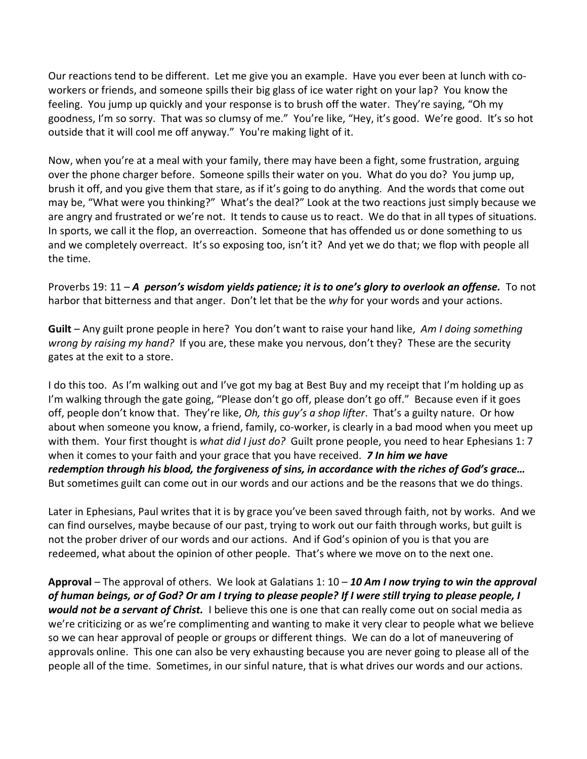Our reactions tend to be different. Let me give you an example. Have you ever been at lunch with coworkers or friends, and someone spills their big glass of ice water right on your lap? You know the feeling. You jump up quickly and your response is to brush off the water. They're saying, "Oh my goodness, I'm so sorry. That was so clumsy of me." You're like, "Hey, it's good. We're good. It's so hot outside that it will cool me off anyway." You're making light of it.

Now, when you're at a meal with your family, there may have been a fight, some frustration, arguing over the phone charger before. Someone spills their water on you. What do you do? You jump up, brush it off, and you give them that stare, as if it's going to do anything. And the words that come out may be, "What were you thinking?" What's the deal?" Look at the two reactions just simply because we are angry and frustrated or we're not. It tends to cause us to react. We do that in all types of situations. In sports, we call it the flop, an overreaction. Someone that has offended us or done something to us and we completely overreact. It's so exposing too, isn't it? And yet we do that; we flop with people all the time.

Proverbs 19: 11 – *A person's wisdom yields patience; it is to one's glory to overlook an offense.* To not harbor that bitterness and that anger. Don't let that be the *why* for your words and your actions.

**Guilt** – Any guilt prone people in here? You don't want to raise your hand like, *Am I doing something wrong by raising my hand?* If you are, these make you nervous, don't they? These are the security gates at the exit to a store.

I do this too. As I'm walking out and I've got my bag at Best Buy and my receipt that I'm holding up as I'm walking through the gate going, "Please don't go off, please don't go off." Because even if it goes off, people don't know that. They're like, *Oh, this guy's a shop lifter*. That's a guilty nature. Or how about when someone you know, a friend, family, co-worker, is clearly in a bad mood when you meet up with them. Your first thought is *what did I just do?* Guilt prone people, you need to hear Ephesians 1: 7 when it comes to your faith and your grace that you have received. *7 In him we have redemption through his blood, the forgiveness of sins, in accordance with the riches of God's grace…*  But sometimes guilt can come out in our words and our actions and be the reasons that we do things.

Later in Ephesians, Paul writes that it is by grace you've been saved through faith, not by works. And we can find ourselves, maybe because of our past, trying to work out our faith through works, but guilt is not the prober driver of our words and our actions. And if God's opinion of you is that you are redeemed, what about the opinion of other people. That's where we move on to the next one.

**Approval** – The approval of others. We look at Galatians 1: 10 – *10 Am I now trying to win the approval of human beings, or of God? Or am I trying to please people? If I were still trying to please people, I would not be a servant of Christ.* I believe this one is one that can really come out on social media as we're criticizing or as we're complimenting and wanting to make it very clear to people what we believe so we can hear approval of people or groups or different things. We can do a lot of maneuvering of approvals online. This one can also be very exhausting because you are never going to please all of the people all of the time. Sometimes, in our sinful nature, that is what drives our words and our actions.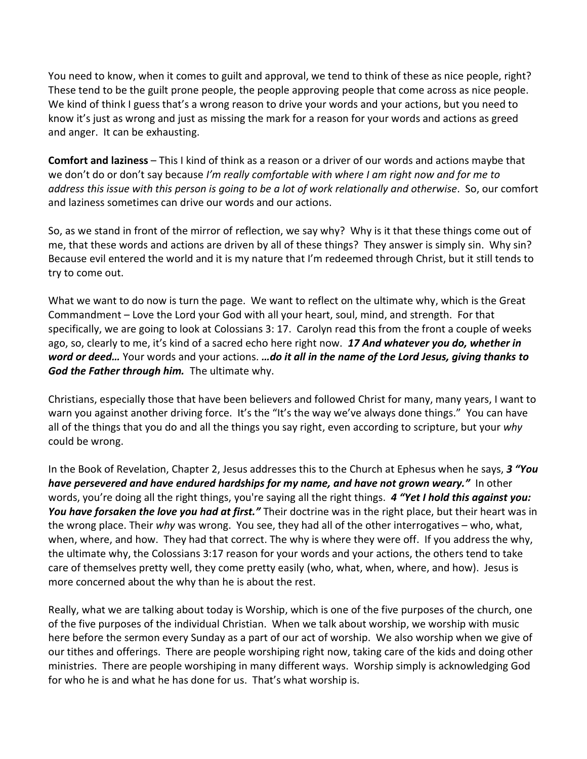You need to know, when it comes to guilt and approval, we tend to think of these as nice people, right? These tend to be the guilt prone people, the people approving people that come across as nice people. We kind of think I guess that's a wrong reason to drive your words and your actions, but you need to know it's just as wrong and just as missing the mark for a reason for your words and actions as greed and anger. It can be exhausting.

**Comfort and laziness** – This I kind of think as a reason or a driver of our words and actions maybe that we don't do or don't say because *I'm really comfortable with where I am right now and for me to address this issue with this person is going to be a lot of work relationally and otherwise*. So, our comfort and laziness sometimes can drive our words and our actions.

So, as we stand in front of the mirror of reflection, we say why? Why is it that these things come out of me, that these words and actions are driven by all of these things? They answer is simply sin. Why sin? Because evil entered the world and it is my nature that I'm redeemed through Christ, but it still tends to try to come out.

What we want to do now is turn the page. We want to reflect on the ultimate why, which is the Great Commandment – Love the Lord your God with all your heart, soul, mind, and strength. For that specifically, we are going to look at Colossians 3: 17. Carolyn read this from the front a couple of weeks ago, so, clearly to me, it's kind of a sacred echo here right now. *17 And whatever you do, whether in word or deed…* Your words and your actions. *…do it all in the name of the Lord Jesus, giving thanks to God the Father through him.* The ultimate why.

Christians, especially those that have been believers and followed Christ for many, many years, I want to warn you against another driving force. It's the "It's the way we've always done things." You can have all of the things that you do and all the things you say right, even according to scripture, but your *why* could be wrong.

In the Book of Revelation, Chapter 2, Jesus addresses this to the Church at Ephesus when he says, *3 "You have persevered and have endured hardships for my name, and have not grown weary."* In other words, you're doing all the right things, you're saying all the right things. *4 "Yet I hold this against you: You have forsaken the love you had at first."* Their doctrine was in the right place, but their heart was in the wrong place. Their *why* was wrong. You see, they had all of the other interrogatives – who, what, when, where, and how. They had that correct. The why is where they were off. If you address the why, the ultimate why, the Colossians 3:17 reason for your words and your actions, the others tend to take care of themselves pretty well, they come pretty easily (who, what, when, where, and how). Jesus is more concerned about the why than he is about the rest.

Really, what we are talking about today is Worship, which is one of the five purposes of the church, one of the five purposes of the individual Christian. When we talk about worship, we worship with music here before the sermon every Sunday as a part of our act of worship. We also worship when we give of our tithes and offerings. There are people worshiping right now, taking care of the kids and doing other ministries. There are people worshiping in many different ways. Worship simply is acknowledging God for who he is and what he has done for us. That's what worship is.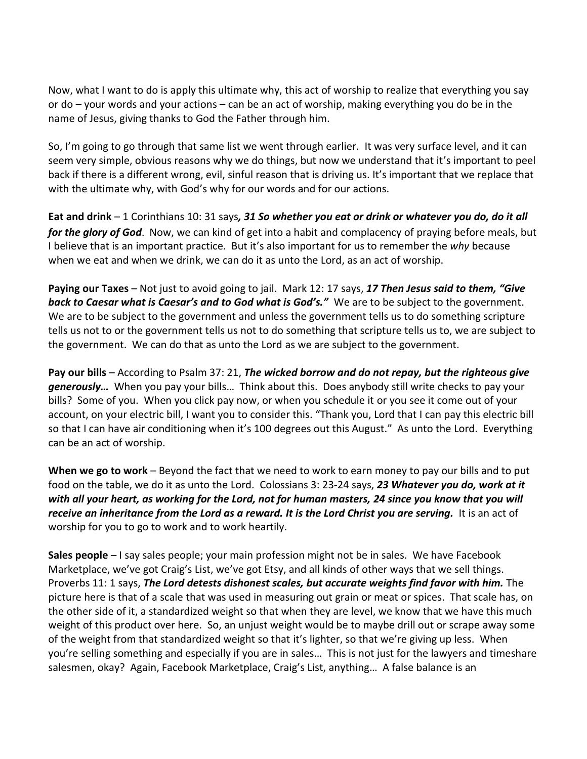Now, what I want to do is apply this ultimate why, this act of worship to realize that everything you say or do – your words and your actions – can be an act of worship, making everything you do be in the name of Jesus, giving thanks to God the Father through him.

So, I'm going to go through that same list we went through earlier. It was very surface level, and it can seem very simple, obvious reasons why we do things, but now we understand that it's important to peel back if there is a different wrong, evil, sinful reason that is driving us. It's important that we replace that with the ultimate why, with God's why for our words and for our actions.

**Eat and drink** – 1 Corinthians 10: 31 says*, 31 So whether you eat or drink or whatever you do, do it all for the glory of God*. Now, we can kind of get into a habit and complacency of praying before meals, but I believe that is an important practice. But it's also important for us to remember the *why* because when we eat and when we drink, we can do it as unto the Lord, as an act of worship.

**Paying our Taxes** – Not just to avoid going to jail. Mark 12: 17 says, *17 Then Jesus said to them, "Give back to Caesar what is Caesar's and to God what is God's."* We are to be subject to the government. We are to be subject to the government and unless the government tells us to do something scripture tells us not to or the government tells us not to do something that scripture tells us to, we are subject to the government. We can do that as unto the Lord as we are subject to the government.

**Pay our bills** – According to Psalm 37: 21, *The wicked borrow and do not repay, but the righteous give generously…* When you pay your bills… Think about this. Does anybody still write checks to pay your bills? Some of you. When you click pay now, or when you schedule it or you see it come out of your account, on your electric bill, I want you to consider this. "Thank you, Lord that I can pay this electric bill so that I can have air conditioning when it's 100 degrees out this August." As unto the Lord. Everything can be an act of worship.

**When we go to work** – Beyond the fact that we need to work to earn money to pay our bills and to put food on the table, we do it as unto the Lord. Colossians 3: 23-24 says, *23 Whatever you do, work at it with all your heart, as working for the Lord, not for human masters, 24 since you know that you will receive an inheritance from the Lord as a reward. It is the Lord Christ you are serving.* It is an act of worship for you to go to work and to work heartily.

**Sales people** – I say sales people; your main profession might not be in sales. We have Facebook Marketplace, we've got Craig's List, we've got Etsy, and all kinds of other ways that we sell things. Proverbs 11: 1 says, *The Lord detests dishonest scales, but accurate weights find favor with him.* The picture here is that of a scale that was used in measuring out grain or meat or spices. That scale has, on the other side of it, a standardized weight so that when they are level, we know that we have this much weight of this product over here. So, an unjust weight would be to maybe drill out or scrape away some of the weight from that standardized weight so that it's lighter, so that we're giving up less. When you're selling something and especially if you are in sales… This is not just for the lawyers and timeshare salesmen, okay? Again, Facebook Marketplace, Craig's List, anything… A false balance is an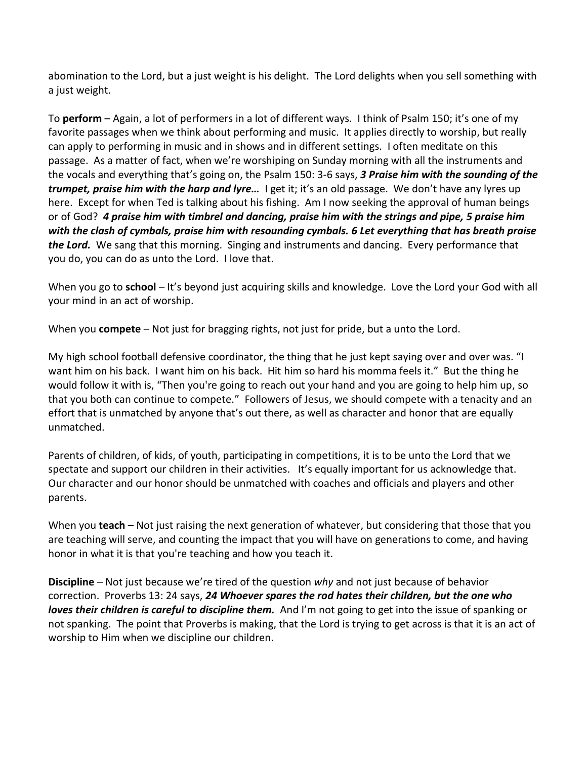abomination to the Lord, but a just weight is his delight. The Lord delights when you sell something with a just weight.

To **perform** – Again, a lot of performers in a lot of different ways. I think of Psalm 150; it's one of my favorite passages when we think about performing and music. It applies directly to worship, but really can apply to performing in music and in shows and in different settings. I often meditate on this passage. As a matter of fact, when we're worshiping on Sunday morning with all the instruments and the vocals and everything that's going on, the Psalm 150: 3-6 says, *3 Praise him with the sounding of the trumpet, praise him with the harp and lyre…* I get it; it's an old passage. We don't have any lyres up here. Except for when Ted is talking about his fishing. Am I now seeking the approval of human beings or of God? *4 praise him with timbrel and dancing, praise him with the strings and pipe, 5 praise him with the clash of cymbals, praise him with resounding cymbals. 6 Let everything that has breath praise the Lord.* We sang that this morning. Singing and instruments and dancing. Every performance that you do, you can do as unto the Lord. I love that.

When you go to **school** – It's beyond just acquiring skills and knowledge. Love the Lord your God with all your mind in an act of worship.

When you **compete** – Not just for bragging rights, not just for pride, but a unto the Lord.

My high school football defensive coordinator, the thing that he just kept saying over and over was. "I want him on his back. I want him on his back. Hit him so hard his momma feels it." But the thing he would follow it with is, "Then you're going to reach out your hand and you are going to help him up, so that you both can continue to compete." Followers of Jesus, we should compete with a tenacity and an effort that is unmatched by anyone that's out there, as well as character and honor that are equally unmatched.

Parents of children, of kids, of youth, participating in competitions, it is to be unto the Lord that we spectate and support our children in their activities. It's equally important for us acknowledge that. Our character and our honor should be unmatched with coaches and officials and players and other parents.

When you **teach** – Not just raising the next generation of whatever, but considering that those that you are teaching will serve, and counting the impact that you will have on generations to come, and having honor in what it is that you're teaching and how you teach it.

**Discipline** – Not just because we're tired of the question *why* and not just because of behavior correction. Proverbs 13: 24 says, *24 Whoever spares the rod hates their children, but the one who loves their children is careful to discipline them.* And I'm not going to get into the issue of spanking or not spanking. The point that Proverbs is making, that the Lord is trying to get across is that it is an act of worship to Him when we discipline our children.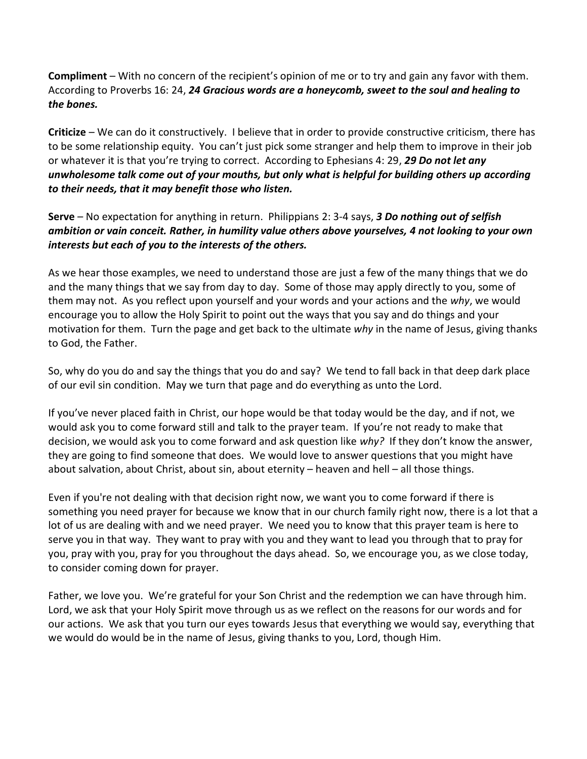**Compliment** – With no concern of the recipient's opinion of me or to try and gain any favor with them. According to Proverbs 16: 24, *24 Gracious words are a honeycomb, sweet to the soul and healing to the bones.*

**Criticize** – We can do it constructively. I believe that in order to provide constructive criticism, there has to be some relationship equity. You can't just pick some stranger and help them to improve in their job or whatever it is that you're trying to correct. According to Ephesians 4: 29, *29 Do not let any unwholesome talk come out of your mouths, but only what is helpful for building others up according to their needs, that it may benefit those who listen.*

**Serve** – No expectation for anything in return. Philippians 2: 3-4 says, *3 Do nothing out of selfish ambition or vain conceit. Rather, in humility value others above yourselves, 4 not looking to your own interests but each of you to the interests of the others.*

As we hear those examples, we need to understand those are just a few of the many things that we do and the many things that we say from day to day. Some of those may apply directly to you, some of them may not. As you reflect upon yourself and your words and your actions and the *why*, we would encourage you to allow the Holy Spirit to point out the ways that you say and do things and your motivation for them. Turn the page and get back to the ultimate *why* in the name of Jesus, giving thanks to God, the Father.

So, why do you do and say the things that you do and say? We tend to fall back in that deep dark place of our evil sin condition. May we turn that page and do everything as unto the Lord.

If you've never placed faith in Christ, our hope would be that today would be the day, and if not, we would ask you to come forward still and talk to the prayer team. If you're not ready to make that decision, we would ask you to come forward and ask question like *why?* If they don't know the answer, they are going to find someone that does. We would love to answer questions that you might have about salvation, about Christ, about sin, about eternity – heaven and hell – all those things.

Even if you're not dealing with that decision right now, we want you to come forward if there is something you need prayer for because we know that in our church family right now, there is a lot that a lot of us are dealing with and we need prayer. We need you to know that this prayer team is here to serve you in that way. They want to pray with you and they want to lead you through that to pray for you, pray with you, pray for you throughout the days ahead. So, we encourage you, as we close today, to consider coming down for prayer.

Father, we love you. We're grateful for your Son Christ and the redemption we can have through him. Lord, we ask that your Holy Spirit move through us as we reflect on the reasons for our words and for our actions. We ask that you turn our eyes towards Jesus that everything we would say, everything that we would do would be in the name of Jesus, giving thanks to you, Lord, though Him.